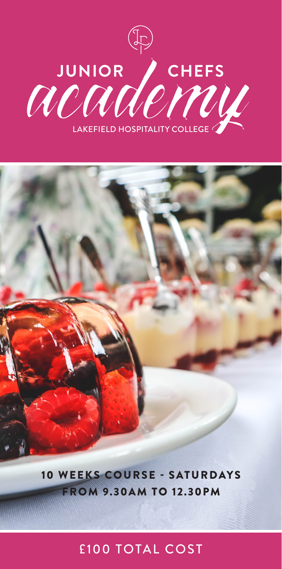



10 WEEKS COURSE - SATURDAYS FROM 9.30AM TO 12.30PM

## £100 TOTAL COST